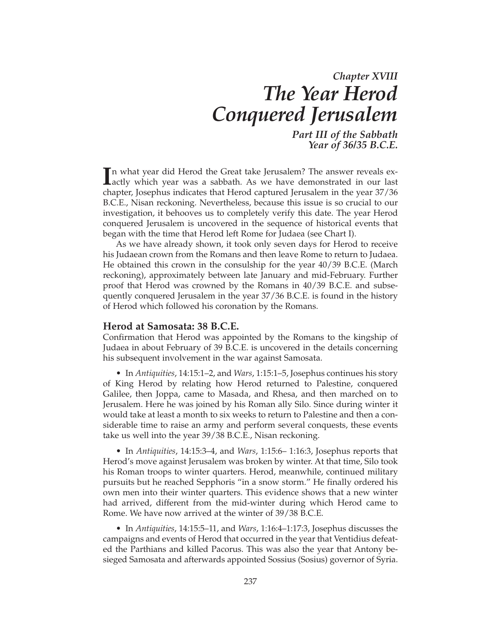# *Chapter XVIII The Year Herod Conquered Jerusalem*

*Part III of the Sabbath Year of 36/35 B.C.E.*

In what year did Herod the Great take Jerusalem? The answer reveals exactly which year was a sabbath. As we have demonstrated in our last In what year did Herod the Great take Jerusalem? The answer reveals exchapter, Josephus indicates that Herod captured Jerusalem in the year 37/36 B.C.E., Nisan reckoning. Nevertheless, because this issue is so crucial to our investigation, it behooves us to completely verify this date. The year Herod conquered Jerusalem is uncovered in the sequence of historical events that began with the time that Herod left Rome for Judaea (see Chart I).

As we have already shown, it took only seven days for Herod to receive his Judaean crown from the Romans and then leave Rome to return to Judaea. He obtained this crown in the consulship for the year 40/39 B.C.E. (March reckoning), approximately between late January and mid-February. Further proof that Herod was crowned by the Romans in 40/39 B.C.E. and subsequently conquered Jerusalem in the year 37/36 B.C.E. is found in the history of Herod which followed his coronation by the Romans.

### **Herod at Samosata: 38 B.C.E.**

Confirmation that Herod was appointed by the Romans to the kingship of Judaea in about February of 39 B.C.E. is uncovered in the details concerning his subsequent involvement in the war against Samosata.

• In *Antiquities*, 14:15:1–2, and *Wars*, 1:15:1–5, Josephus continues his story of King Herod by relating how Herod returned to Palestine, conquered Galilee, then Joppa, came to Masada, and Rhesa, and then marched on to Jerusalem. Here he was joined by his Roman ally Silo. Since during winter it would take at least a month to six weeks to return to Palestine and then a considerable time to raise an army and perform several conquests, these events take us well into the year 39/38 B.C.E., Nisan reckoning.

• In *Antiquities*, 14:15:3–4, and *Wars*, 1:15:6– 1:16:3, Josephus reports that Herod's move against Jerusalem was broken by winter. At that time, Silo took his Roman troops to winter quarters. Herod, meanwhile, continued military pursuits but he reached Sepphoris "in a snow storm." He finally ordered his own men into their winter quarters. This evidence shows that a new winter had arrived, different from the mid-winter during which Herod came to Rome. We have now arrived at the winter of 39/38 B.C.E.

• In *Antiquities*, 14:15:5–11, and *Wars*, 1:16:4–1:17:3, Josephus discusses the campaigns and events of Herod that occurred in the year that Ventidius defeat ed the Parthians and killed Pacorus. This was also the year that Antony be sieged Samosata and afterwards appointed Sossius (Sosius) governor of Syria.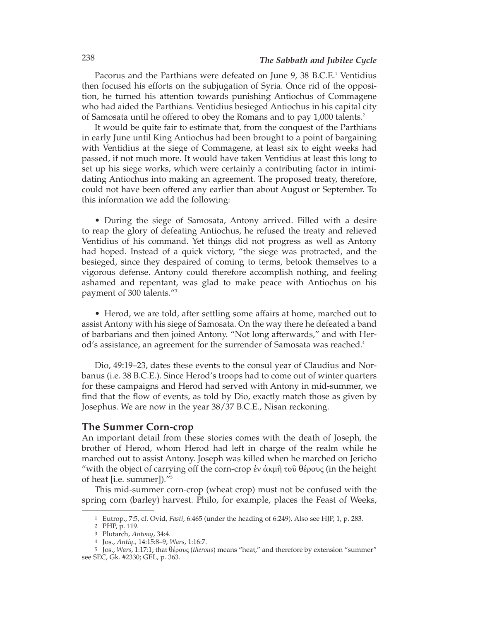Pacorus and the Parthians were defeated on June 9, 38 B.C.E.<sup>1</sup> Ventidius then focused his efforts on the subjugation of Syria. Once rid of the opposition, he turned his attention towards punishing Antiochus of Commagene who had aided the Parthians. Ventidius besieged Antiochus in his capital city of Samosata until he offered to obey the Romans and to pay 1,000 talents.2

It would be quite fair to estimate that, from the conquest of the Parthians in early June until King Antiochus had been brought to a point of bargaining with Ventidius at the siege of Commagene, at least six to eight weeks had passed, if not much more. It would have taken Ventidius at least this long to set up his siege works, which were certainly a contributing factor in intimidating Antiochus into making an agreement. The proposed treaty, therefore, could not have been offered any earlier than about August or September. To this information we add the following:

• During the siege of Samosata, Antony arrived. Filled with a desire to reap the glory of defeating Antiochus, he refused the treaty and relieved Ventidius of his command. Yet things did not progress as well as Antony had hoped. Instead of a quick victory, "the siege was protracted, and the besieged, since they despaired of coming to terms, betook themselves to a vigorous defense. Antony could therefore accomplish nothing, and feeling ashamed and repentant, was glad to make peace with Antiochus on his payment of 300 talents."3

• Herod, we are told, after settling some affairs at home, marched out to assist Antony with his siege of Samosata. On the way there he defeated a band of barbarians and then joined Antony. "Not long afterwards," and with Herod's assistance, an agreement for the surrender of Samosata was reached.<sup>4</sup>

Dio, 49:19–23, dates these events to the consul year of Claudius and Norbanus (i.e. 38 B.C.E.). Since Herod's troops had to come out of winter quarters for these campaigns and Herod had served with Antony in mid-summer, we find that the flow of events, as told by Dio, exactly match those as given by Josephus. We are now in the year 38/37 B.C.E., Nisan reckoning.

# **The Summer Corn-crop**

An important detail from these stories comes with the death of Joseph, the brother of Herod, whom Herod had left in charge of the realm while he marched out to assist Antony. Joseph was killed when he marched on Jericho "with the object of carrying off the corn-crop ἐν ἀκμῆ τοῦ θέρους (in the height of heat [i.e. summer])."5

This mid-summer corn-crop (wheat crop) must not be confused with the spring corn (barley) harvest. Philo, for example, places the Feast of Weeks,

<sup>1</sup> Eutrop., 7:5, cf. Ovid, *Fasti*, 6:465 (under the heading of 6:249). Also see HJP, 1, p. 283.

<sup>2</sup> PHP, p. 119.

<sup>3</sup> Plutarch, *Antony*, 34:4.

<sup>4</sup> Jos., *Antiq*., 14:15:8–9, *Wars*, 1:16:7.

<sup>5</sup> Jos., *Wars*, 1:17:1; that θέρους (*therous*) means "heat," and therefore by extension "summer" see SEC, Gk. #2330; GEL, p. 363.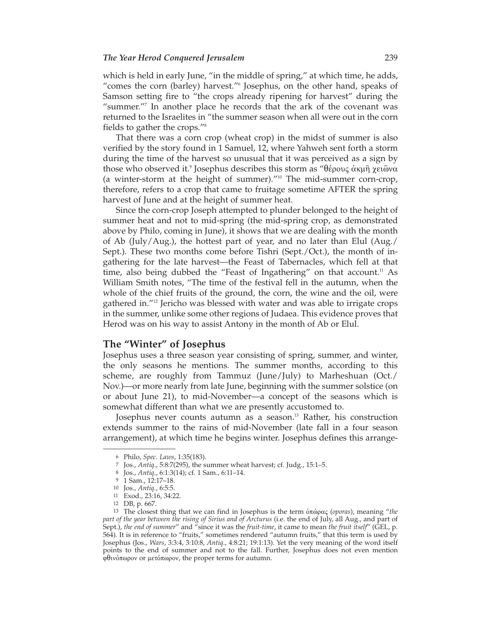#### *The Year Herod Conquered Jerusalem* 239

which is held in early June, "in the middle of spring," at which time, he adds, "comes the corn (barley) harvest."6 Josephus, on the other hand, speaks of Samson setting fire to "the crops already ripening for harvest" during the "summer."7 In another place he records that the ark of the covenant was returned to the Israelites in "the summer season when all were out in the corn fields to gather the crops."8

That there was a corn crop (wheat crop) in the midst of summer is also verified by the story found in 1 Samuel, 12, where Yahweh sent forth a storm during the time of the harvest so unusual that it was perceived as a sign by those who observed it.<sup>9</sup> Josephus describes this storm as "θέρους ἀκμῆ χειῶνα (a winter-storm at the height of summer)."10 The mid-summer corn-crop, therefore, refers to a crop that came to fruitage sometime AFTER the spring harvest of June and at the height of summer heat.

Since the corn-crop Joseph attempted to plunder belonged to the height of summer heat and not to mid-spring (the mid-spring crop, as demonstrated above by Philo, coming in June), it shows that we are dealing with the month of Ab (July/Aug.), the hottest part of year, and no later than Elul (Aug./ Sept.). These two months come before Tishri (Sept./Oct.), the month of ingathering for the late harvest—the Feast of Tabernacles, which fell at that time, also being dubbed the "Feast of Ingathering" on that account.<sup>11</sup> As William Smith notes, "The time of the festival fell in the autumn, when the whole of the chief fruits of the ground, the corn, the wine and the oil, were gathered in."12 Jericho was blessed with water and was able to irrigate crops in the summer, unlike some other regions of Judaea. This evidence proves that Herod was on his way to assist Antony in the month of Ab or Elul.

## **The "Winter" of Josephus**

Josephus uses a three season year consisting of spring, summer, and winter, the only seasons he mentions. The summer months, according to this scheme, are roughly from Tammuz (June/July) to Marheshuan (Oct./ Nov.)—or more nearly from late June, beginning with the summer solstice (on or about June 21), to mid-November—a concept of the seasons which is somewhat different than what we are presently accustomed to.

Josephus never counts autumn as a season.<sup>13</sup> Rather, his construction extends summer to the rains of mid-November (late fall in a four season arrangement), at which time he begins winter. Josephus defines this arrange-

<sup>6</sup> Philo, *Spec. Laws*, 1:35(183).

<sup>7</sup> Jos., *Antiq*., 5:8:7(295), the summer wheat harvest; cf. Judg., 15:1–5.

<sup>8</sup> Jos., *Antiq*., 6:1:3(14); cf. 1 Sam., 6:11–14.

<sup>9</sup> 1 Sam., 12:17–18.

<sup>10</sup> Jos., *Antiq*., 6:5:5.

<sup>11</sup> Exod., 23:16, 34:22.

<sup>12</sup> DB, p. 667.

<sup>13</sup> The closest thing that we can find in Josephus is the term ὀπώρας (*oporas*), meaning "*the part of the year between the rising of Sirius and of Arcturus* (i.e. the end of July, all Aug., and part of Sept.), *the end of summer*" and "since it was the *fruit-time*, it came to mean *the fruit itself*" (GEL, p. 564). It is in reference to "fruits," sometimes rendered "autumn fruits," that this term is used by Josephus (Jos., *Wars*, 3:3:4, 3:10:8, *Antiq*., 4:8:21; 19:1:13). Yet the very meaning of the word itself points to the end of summer and not to the fall. Further, Josephus does not even mention φθινόπωρον or μετόπωρον, the proper terms for autumn.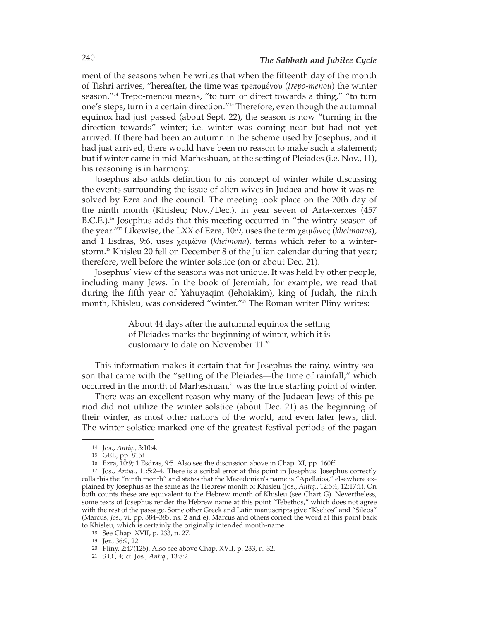ment of the seasons when he writes that when the fifteenth day of the month of Tishri arrives, "hereafter, the time was τρεπομένου (*trepo-menou*) the winter season."14 Trepo-menou means, "to turn or direct towards a thing," "to turn one's steps, turn in a certain direction."15 Therefore, even though the autumnal equinox had just passed (about Sept. 22), the season is now "turning in the direction towards" winter; i.e. winter was coming near but had not yet arrived. If there had been an autumn in the scheme used by Josephus, and it had just arrived, there would have been no reason to make such a statement; but if winter came in mid-Marheshuan, at the setting of Pleiades (i.e. Nov., 11), his reasoning is in harmony.

Josephus also adds definition to his concept of winter while discussing the events surrounding the issue of alien wives in Judaea and how it was resolved by Ezra and the council. The meeting took place on the 20th day of the ninth month (Khisleu; Nov./Dec.), in year seven of Arta-xerxes (457  $B.C.E.)$ <sup>16</sup> Josephus adds that this meeting occurred in "the wintry season of the year.<sup>"17</sup> Likewise, the LXX of Ezra, 10:9, uses the term χειμῶνος (*kheimonos*), and 1 Esdras, 9:6, uses χειμῶνα (*kheimona*), terms which refer to a winterstorm.18 Khisleu 20 fell on December 8 of the Julian calendar during that year; therefore, well before the winter solstice (on or about Dec. 21).

Josephus' view of the seasons was not unique. It was held by other people, including many Jews. In the book of Jeremiah, for example, we read that during the fifth year of Yahuyaqim (Jehoiakim), king of Judah, the ninth month, Khisleu, was considered "winter."19 The Roman writer Pliny writes:

> About 44 days after the autumnal equinox the setting of Pleiades marks the beginning of winter, which it is customary to date on November 11.20

This information makes it certain that for Josephus the rainy, wintry season that came with the "setting of the Pleiades—the time of rainfall," which occurred in the month of Marheshuan, $21$  was the true starting point of winter.

There was an excellent reason why many of the Judaean Jews of this period did not utilize the winter solstice (about Dec. 21) as the beginning of their winter, as most other nations of the world, and even later Jews, did. The winter solstice marked one of the greatest festival periods of the pagan

<sup>14</sup> Jos., *Antiq*., 3:10:4.

<sup>15</sup> GEL, pp. 815f.

<sup>16</sup> Ezra, 10:9; 1 Esdras, 9:5. Also see the discussion above in Chap. XI, pp. 160ff.

<sup>17</sup> Jos., *Antiq*., 11:5:2–4. There is a scribal error at this point in Josephus. Josephus correctly calls this the "ninth month" and states that the Macedonian's name is "Apellaios," elsewhere explained by Josephus as the same as the Hebrew month of Khisleu (Jos., *Antiq*., 12:5:4, 12:17:1). On both counts these are equivalent to the Hebrew month of Khisleu (see Chart G). Nevertheless, some texts of Josephus render the Hebrew name at this point "Tebethos," which does not agree with the rest of the passage. Some other Greek and Latin manuscripts give "Kselios" and "Sileos" (Marcus, *Jos*., vi, pp. 384–385, ns. 2 and e). Marcus and others correct the word at this point back to Khisleu, which is certainly the originally intended month-name.

<sup>18</sup> See Chap. XVII, p. 233, n. 27.

<sup>19</sup> Jer., 36:9, 22.

<sup>20</sup> Pliny, 2:47(125). Also see above Chap. XVII, p. 233, n. 32.

<sup>21</sup> S.O., 4; cf. Jos., *Antiq*., 13:8:2.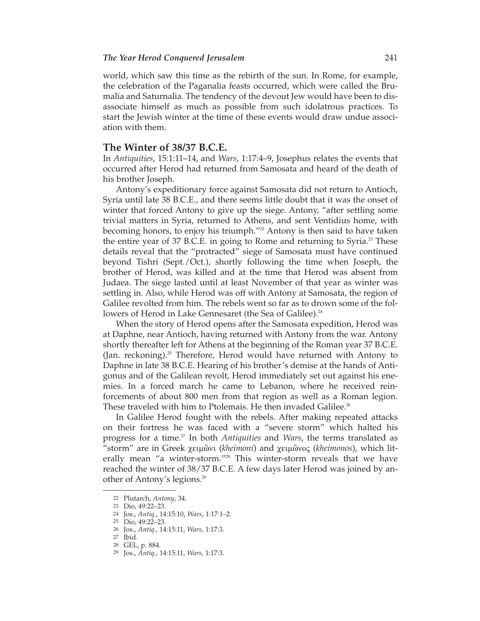#### *The Year Herod Conquered Jerusalem* 241

world, which saw this time as the rebirth of the sun. In Rome, for example, the celebration of the Paganalia feasts occurred, which were called the Brumalia and Saturnalia. The tendency of the devout Jew would have been to dis associate himself as much as possible from such idolatrous practices. To start the Jewish winter at the time of these events would draw undue association with them.

## **The Winter of 38/37 B.C.E.**

In *Antiquities*, 15:1:11–14, and *Wars*, 1:17:4–9, Josephus relates the events that occurred after Herod had returned from Samosata and heard of the death of his brother Joseph.

Antony's expeditionary force against Samosata did not return to Antioch, Syria until late 38 B.C.E., and there seems little doubt that it was the onset of winter that forced Antony to give up the siege. Antony, "after settling some trivial matters in Syria, returned to Athens, and sent Ventidius home, with becoming honors, to enjoy his triumph."<sup>22</sup> Antony is then said to have taken the entire year of 37 B.C.E. in going to Rome and returning to Syria.<sup>23</sup> These details reveal that the "protracted" siege of Samosata must have continued beyond Tishri (Sept./Oct.), shortly following the time when Joseph, the brother of Herod, was killed and at the time that Herod was absent from Judaea. The siege lasted until at least November of that year as winter was settling in. Also, while Herod was off with Antony at Samosata, the region of Galilee revolted from him. The rebels went so far as to drown some of the followers of Herod in Lake Gennesaret (the Sea of Galilee).<sup>24</sup>

When the story of Herod opens after the Samosata expedition, Herod was at Daphne, near Antioch, having returned with Antony from the war. Antony shortly thereafter left for Athens at the beginning of the Roman year 37 B.C.E. (Jan. reckoning).25 Therefore, Herod would have returned with Antony to Daphne in late 38 B.C.E. Hearing of his brother's demise at the hands of Antigonus and of the Galilean revolt, Herod immediately set out against his ene mies. In a forced march he came to Lebanon, where he received reinforcements of about 800 men from that region as well as a Roman legion. These traveled with him to Ptolemais. He then invaded Galilee.<sup>26</sup>

In Galilee Herod fought with the rebels. After making repeated attacks on their fortress he was faced with a "severe storm" which halted his progress for a time.27 In both *Antiquities* and *Wars*, the terms translated as "storm" are in Greek χειμῶνι (*kheimoni*) and χειμῶνος (*kheimonos*), which lit erally mean "a winter-storm."28 This winter-storm reveals that we have reached the winter of 38/37 B.C.E. A few days later Herod was joined by another of Antony's legions.29

<sup>22</sup> Plutarch, *Antony*, 34.

<sup>23</sup> Dio, 49:22–23.

<sup>24</sup> Jos., *Antiq*., 14:15:10, *Wars*, 1:17:1–2.

<sup>25</sup> Dio, 49:22–23.

<sup>26</sup> Jos., *Antiq*., 14:15:11, *Wars*, 1:17:3.

<sup>27</sup> Ibid.

<sup>28</sup> GEL, p. 884.

<sup>29</sup> Jos., *Antiq*., 14:15:11, *Wars*, 1:17:3.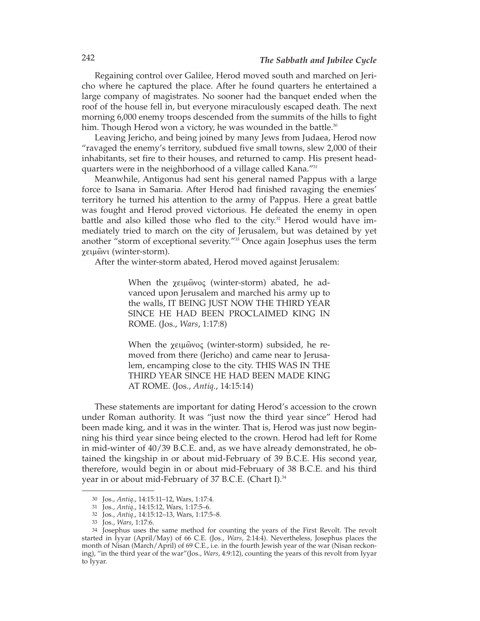Regaining control over Galilee, Herod moved south and marched on Jericho where he captured the place. After he found quarters he entertained a large company of magistrates. No sooner had the banquet ended when the roof of the house fell in, but everyone miraculously escaped death. The next morning 6,000 enemy troops descended from the summits of the hills to fight him. Though Herod won a victory, he was wounded in the battle.<sup>30</sup>

Leaving Jericho, and being joined by many Jews from Judaea, Herod now "ravaged the enemy's territory, subdued five small towns, slew 2,000 of their inhabitants, set fire to their houses, and returned to camp. His present headquarters were in the neighborhood of a village called Kana."31

Meanwhile, Antigonus had sent his general named Pappus with a large force to Isana in Samaria. After Herod had finished ravaging the enemies' territory he turned his attention to the army of Pappus. Here a great battle was fought and Herod proved victorious. He defeated the enemy in open battle and also killed those who fled to the city. $32$  Herod would have immediately tried to march on the city of Jerusalem, but was detained by yet another "storm of exceptional severity."33 Once again Josephus uses the term χειμῶνι (winter-storm).

After the winter-storm abated, Herod moved against Jerusalem:

When the χειμῶνος (winter-storm) abated, he advanced upon Jerusalem and marched his army up to the walls, IT BEING JUST NOW THE THIRD YEAR SINCE HE HAD BEEN PROCLAIMED KING IN ROME. (Jos., *Wars*, 1:17:8)

When the χειμῶνος (winter-storm) subsided, he removed from there (Jericho) and came near to Jerusalem, encamping close to the city. THIS WAS IN THE THIRD YEAR SINCE HE HAD BEEN MADE KING AT ROME. (Jos., *Antiq*., 14:15:14)

These statements are important for dating Herod's accession to the crown under Roman authority. It was "just now the third year since" Herod had been made king, and it was in the winter. That is, Herod was just now beginning his third year since being elected to the crown. Herod had left for Rome in mid-winter of 40/39 B.C.E. and, as we have already demonstrated, he obtained the kingship in or about mid-February of 39 B.C.E. His second year, therefore, would begin in or about mid-February of 38 B.C.E. and his third year in or about mid-February of 37 B.C.E. (Chart I).<sup>34</sup>

<sup>30</sup> Jos., *Antiq*., 14:15:11–12, Wars, 1:17:4.

<sup>31</sup> Jos., *Antiq*., 14:15:12, Wars, 1:17:5–6.

<sup>32</sup> Jos., *Antiq*., 14:15:12–13, Wars, 1:17:5–8.

<sup>33</sup> Jos., *Wars*, 1:17:6.

<sup>34</sup> Josephus uses the same method for counting the years of the First Revolt. The revolt started in Iyyar (April/May) of 66 C.E. (Jos., *Wars*, 2:14:4). Nevertheless, Josephus places the month of Nisan (March/April) of 69 C.E., i.e. in the fourth Jewish year of the war (Nisan reckoning), "in the third year of the war"(Jos., *Wars*, 4:9:12), counting the years of this revolt from Iyyar to Iyyar.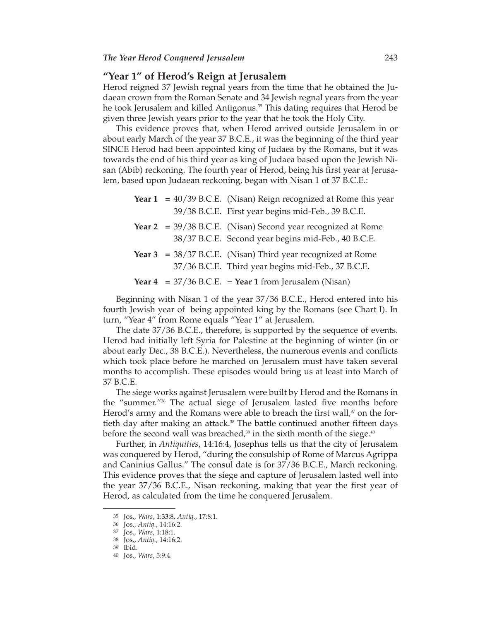# **"Year 1" of Herod's Reign at Jerusalem**

Herod reigned 37 Jewish regnal years from the time that he obtained the Judaean crown from the Roman Senate and 34 Jewish regnal years from the year he took Jerusalem and killed Antigonus.<sup>35</sup> This dating requires that Herod be given three Jewish years prior to the year that he took the Holy City.

This evidence proves that, when Herod arrived outside Jerusalem in or about early March of the year 37 B.C.E., it was the beginning of the third year SINCE Herod had been appointed king of Judaea by the Romans, but it was towards the end of his third year as king of Judaea based upon the Jewish Nisan (Abib) reckoning. The fourth year of Herod, being his first year at Jerusa lem, based upon Judaean reckoning, began with Nisan 1 of 37 B.C.E.:

|  | <b>Year 1</b> = $40/39$ B.C.E. (Nisan) Reign recognized at Rome this year |
|--|---------------------------------------------------------------------------|
|  | 39/38 B.C.E. First year begins mid-Feb., 39 B.C.E.                        |
|  | Year $2 = 39/38$ B.C.E. (Nisan) Second year recognized at Rome            |
|  | 38/37 B.C.E. Second year begins mid-Feb., 40 B.C.E.                       |
|  | Year $3 = 38/37$ B.C.E. (Nisan) Third year recognized at Rome             |
|  | 37/36 B.C.E. Third year begins mid-Feb., 37 B.C.E.                        |
|  | Year $4 = 37/36$ B.C.E. = Year 1 from Jerusalem (Nisan)                   |

Beginning with Nisan 1 of the year 37/36 B.C.E., Herod entered into his fourth Jewish year of being appointed king by the Romans (see Chart I). In turn, "Year 4" from Rome equals "Year 1" at Jerusalem.

The date 37/36 B.C.E., therefore, is supported by the sequence of events. Herod had initially left Syria for Palestine at the beginning of winter (in or about early Dec., 38 B.C.E.). Nevertheless, the numerous events and conflicts which took place before he marched on Jerusalem must have taken several months to accomplish. These episodes would bring us at least into March of 37 B.C.E.

The siege works against Jerusalem were built by Herod and the Romans in the "summer."36 The actual siege of Jerusalem lasted five months before Herod's army and the Romans were able to breach the first wall, $37$  on the fortieth day after making an attack.<sup>38</sup> The battle continued another fifteen days before the second wall was breached, $39$  in the sixth month of the siege. $40$ 

Further, in *Antiquities*, 14:16:4, Josephus tells us that the city of Jerusalem was conquered by Herod, "during the consulship of Rome of Marcus Agrippa and Caninius Gallus." The consul date is for 37/36 B.C.E., March reckoning. This evidence proves that the siege and capture of Jerusalem lasted well into the year 37/36 B.C.E., Nisan reckoning, making that year the first year of Herod, as calculated from the time he conquered Jerusalem.

<sup>35</sup> Jos., *Wars*, 1:33:8, *Antiq*., 17:8:1.

<sup>36</sup> Jos., *Antiq*., 14:16:2.

<sup>37</sup> Jos., *Wars*, 1:18:1.

<sup>38</sup> Jos., *Antiq*., 14:16:2.

<sup>39</sup> Ibid.

<sup>40</sup> Jos., *Wars*, 5:9:4.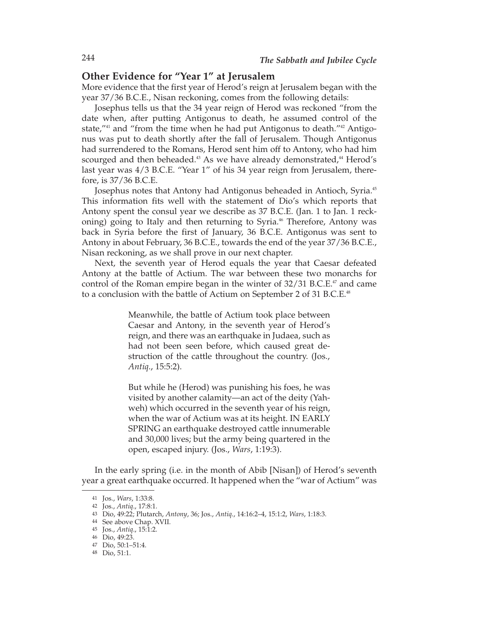# **Other Evidence for "Year 1" at Jerusalem**

More evidence that the first year of Herod's reign at Jerusalem began with the year 37/36 B.C.E., Nisan reckoning, comes from the following details:

Josephus tells us that the 34 year reign of Herod was reckoned "from the date when, after putting Antigonus to death, he assumed control of the state," $41$  and "from the time when he had put Antigonus to death." $42$  Antigonus was put to death shortly after the fall of Jerusalem. Though Antigonus had surrendered to the Romans, Herod sent him off to Antony, who had him scourged and then beheaded.<sup>43</sup> As we have already demonstrated,<sup>44</sup> Herod's last year was 4/3 B.C.E. "Year 1" of his 34 year reign from Jerusalem, therefore, is 37/36 B.C.E.

Josephus notes that Antony had Antigonus beheaded in Antioch, Syria.45 This information fits well with the statement of Dio's which reports that Antony spent the consul year we describe as 37 B.C.E. (Jan. 1 to Jan. 1 reckoning) going to Italy and then returning to Syria.<sup>46</sup> Therefore, Antony was back in Syria before the first of January, 36 B.C.E. Antigonus was sent to Antony in about February, 36 B.C.E., towards the end of the year 37/36 B.C.E., Nisan reckoning, as we shall prove in our next chapter.

Next, the seventh year of Herod equals the year that Caesar defeated Antony at the battle of Actium. The war between these two monarchs for control of the Roman empire began in the winter of  $32/31$  B.C.E.<sup>47</sup> and came to a conclusion with the battle of Actium on September 2 of 31 B.C.E.<sup>48</sup>

> Meanwhile, the battle of Actium took place between Caesar and Antony, in the seventh year of Herod's reign, and there was an earthquake in Judaea, such as had not been seen before, which caused great destruction of the cattle throughout the country. (Jos., *Antiq*., 15:5:2).

> But while he (Herod) was punishing his foes, he was visited by another calamity—an act of the deity (Yah weh) which occurred in the seventh year of his reign, when the war of Actium was at its height. IN EARLY SPRING an earthquake destroyed cattle innumerable and 30,000 lives; but the army being quartered in the open, escaped injury. (Jos., *Wars*, 1:19:3).

In the early spring (i.e. in the month of Abib [Nisan]) of Herod's seventh year a great earthquake occurred. It happened when the "war of Actium" was

<sup>41</sup> Jos., *Wars*, 1:33:8.

<sup>42</sup> Jos., *Antiq*., 17:8:1.

<sup>43</sup> Dio, 49:22; Plutarch, *Antony*, 36; Jos., *Antiq*., 14:16:2–4, 15:1:2, *Wars*, 1:18:3.

<sup>44</sup> See above Chap. XVII.

<sup>45</sup> Jos., *Antiq*., 15:1:2.

<sup>46</sup> Dio, 49:23.

<sup>47</sup> Dio, 50:1–51:4.

<sup>48</sup> Dio, 51:1.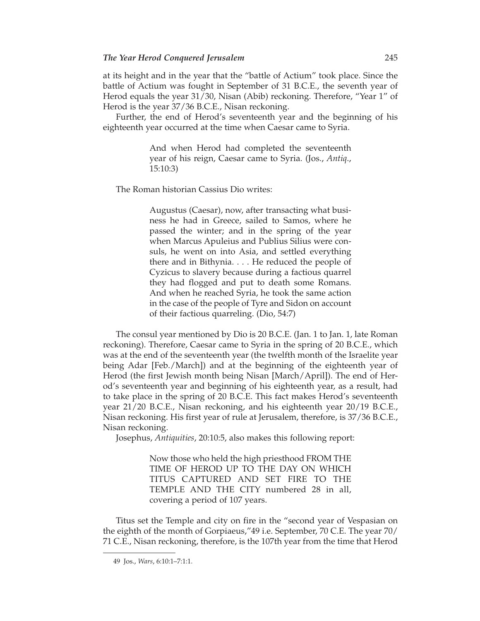at its height and in the year that the "battle of Actium" took place. Since the battle of Actium was fought in September of 31 B.C.E., the seventh year of Herod equals the year 31/30, Nisan (Abib) reckoning. Therefore, "Year 1" of Herod is the year 37/36 B.C.E., Nisan reckoning.

Further, the end of Herod's seventeenth year and the beginning of his eighteenth year occurred at the time when Caesar came to Syria.

> And when Herod had completed the seventeenth year of his reign, Caesar came to Syria. (Jos., *Antiq*., 15:10:3)

The Roman historian Cassius Dio writes:

Augustus (Caesar), now, after transacting what business he had in Greece, sailed to Samos, where he passed the winter; and in the spring of the year when Marcus Apuleius and Publius Silius were consuls, he went on into Asia, and settled everything there and in Bithynia. . . . He reduced the people of Cyzicus to slavery because during a factious quarrel they had flogged and put to death some Romans. And when he reached Syria, he took the same action in the case of the people of Tyre and Sidon on account of their factious quarreling. (Dio, 54:7)

The consul year mentioned by Dio is 20 B.C.E. (Jan. 1 to Jan. 1, late Roman reckoning). Therefore, Caesar came to Syria in the spring of 20 B.C.E., which was at the end of the seventeenth year (the twelfth month of the Israelite year being Adar [Feb./March]) and at the beginning of the eighteenth year of Herod (the first Jewish month being Nisan [March/April]). The end of Herod's seventeenth year and beginning of his eighteenth year, as a result, had to take place in the spring of 20 B.C.E. This fact makes Herod's seventeenth year 21/20 B.C.E., Nisan reckoning, and his eighteenth year 20/19 B.C.E., Nisan reckoning. His first year of rule at Jerusalem, therefore, is 37/36 B.C.E., Nisan reckoning.

Josephus, *Antiquities*, 20:10:5, also makes this following report:

Now those who held the high priesthood FROM THE TIME OF HEROD UP TO THE DAY ON WHICH TITUS CAPTURED AND SET FIRE TO THE TEMPLE AND THE CITY numbered 28 in all, covering a period of 107 years.

Titus set the Temple and city on fire in the "second year of Vespasian on the eighth of the month of Gorpiaeus,"49 i.e. September, 70 C.E. The year 70/ 71 C.E., Nisan reckoning, therefore, is the 107th year from the time that Herod

<sup>49</sup> Jos., *Wars*, 6:10:1–7:1:1.